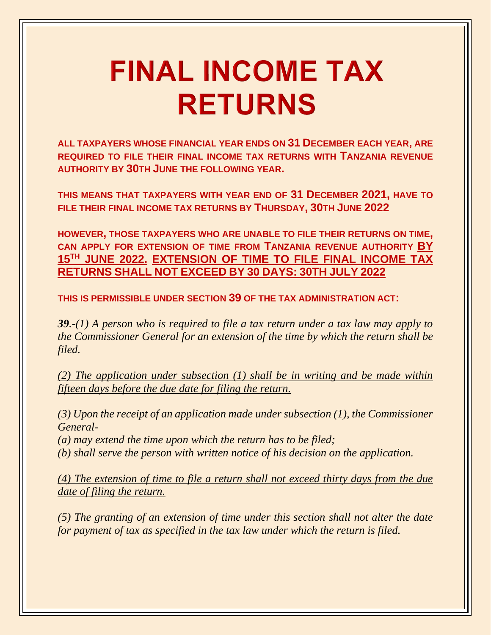## **FINAL INCOME TAX RETURNS**

**ALL TAXPAYERS WHOSE FINANCIAL YEAR ENDS ON 31 DECEMBER EACH YEAR, ARE REQUIRED TO FILE THEIR FINAL INCOME TAX RETURNS WITH TANZANIA REVENUE AUTHORITY BY 30TH JUNE THE FOLLOWING YEAR.**

**THIS MEANS THAT TAXPAYERS WITH YEAR END OF 31 DECEMBER 2021, HAVE TO FILE THEIR FINAL INCOME TAX RETURNS BY THURSDAY, 30TH JUNE 2022**

**HOWEVER, THOSE TAXPAYERS WHO ARE UNABLE TO FILE THEIR RETURNS ON TIME, CAN APPLY FOR EXTENSION OF TIME FROM TANZANIA REVENUE AUTHORITY BY 15TH JUNE 2022. EXTENSION OF TIME TO FILE FINAL INCOME TAX RETURNS SHALL NOT EXCEED BY 30 DAYS: 30TH JULY 2022**

**THIS IS PERMISSIBLE UNDER SECTION 39 OF THE TAX ADMINISTRATION ACT:**

*39.-(1) A person who is required to file a tax return under a tax law may apply to the Commissioner General for an extension of the time by which the return shall be filed.*

*(2) The application under subsection (1) shall be in writing and be made within fifteen days before the due date for filing the return.*

*(3) Upon the receipt of an application made under subsection (1), the Commissioner General-*

*(a) may extend the time upon which the return has to be filed;*

*(b) shall serve the person with written notice of his decision on the application.*

*(4) The extension of time to file a return shall not exceed thirty days from the due date of filing the return.*

*(5) The granting of an extension of time under this section shall not alter the date for payment of tax as specified in the tax law under which the return is filed.*